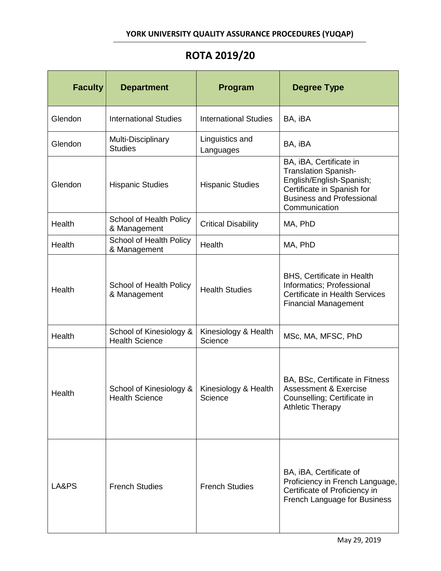## **YORK UNIVERSITY QUALITY ASSURANCE PROCEDURES (YUQAP)**

## **ROTA 2019/20**

| <b>Faculty</b> | <b>Department</b>                                | Program                         | <b>Degree Type</b>                                                                                                                                                    |
|----------------|--------------------------------------------------|---------------------------------|-----------------------------------------------------------------------------------------------------------------------------------------------------------------------|
| Glendon        | <b>International Studies</b>                     | <b>International Studies</b>    | BA, iBA                                                                                                                                                               |
| Glendon        | Multi-Disciplinary<br><b>Studies</b>             | Linguistics and<br>Languages    | BA, iBA                                                                                                                                                               |
| Glendon        | <b>Hispanic Studies</b>                          | <b>Hispanic Studies</b>         | BA, iBA, Certificate in<br><b>Translation Spanish-</b><br>English/English-Spanish;<br>Certificate in Spanish for<br><b>Business and Professional</b><br>Communication |
| Health         | School of Health Policy<br>& Management          | <b>Critical Disability</b>      | MA, PhD                                                                                                                                                               |
| Health         | School of Health Policy<br>& Management          | Health                          | MA, PhD                                                                                                                                                               |
| Health         | School of Health Policy<br>& Management          | <b>Health Studies</b>           | <b>BHS, Certificate in Health</b><br>Informatics; Professional<br><b>Certificate in Health Services</b><br><b>Financial Management</b>                                |
| Health         | School of Kinesiology &<br><b>Health Science</b> | Kinesiology & Health<br>Science | MSc, MA, MFSC, PhD                                                                                                                                                    |
| Health         | School of Kinesiology &<br><b>Health Science</b> | Kinesiology & Health<br>Science | BA, BSc, Certificate in Fitness<br><b>Assessment &amp; Exercise</b><br>Counselling; Certificate in<br><b>Athletic Therapy</b>                                         |
| LA&PS          | <b>French Studies</b>                            | <b>French Studies</b>           | BA, iBA, Certificate of<br>Proficiency in French Language,<br>Certificate of Proficiency in<br>French Language for Business                                           |